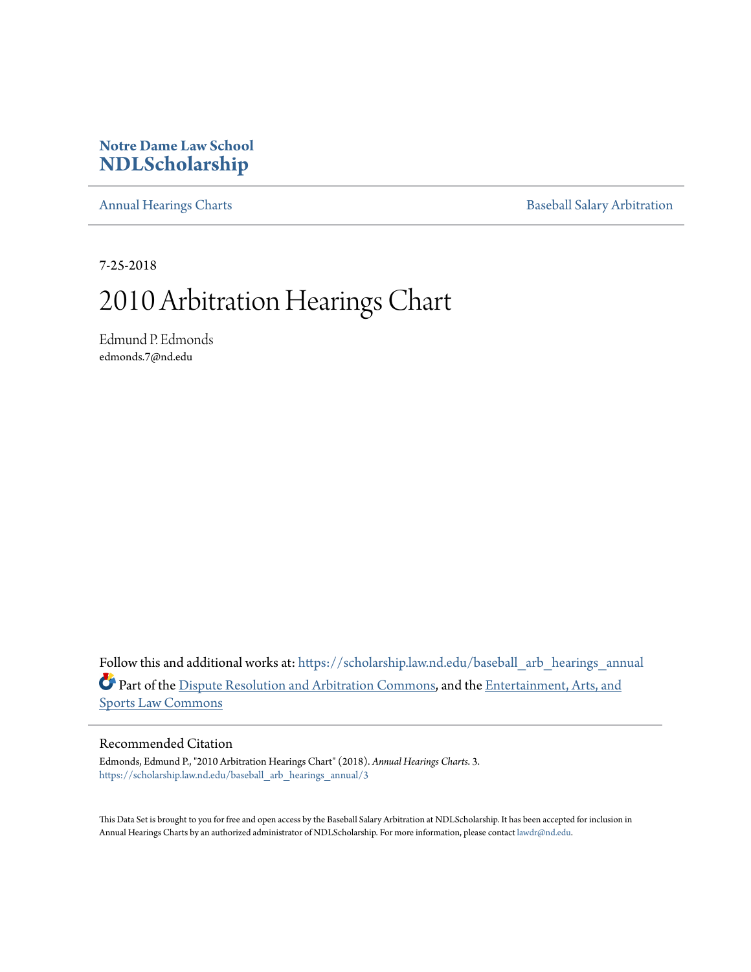## **Notre Dame Law School [NDLScholarship](https://scholarship.law.nd.edu?utm_source=scholarship.law.nd.edu%2Fbaseball_arb_hearings_annual%2F3&utm_medium=PDF&utm_campaign=PDFCoverPages)**

[Annual Hearings Charts](https://scholarship.law.nd.edu/baseball_arb_hearings_annual?utm_source=scholarship.law.nd.edu%2Fbaseball_arb_hearings_annual%2F3&utm_medium=PDF&utm_campaign=PDFCoverPages) **[Baseball Salary Arbitration](https://scholarship.law.nd.edu/baseball_arb?utm_source=scholarship.law.nd.edu%2Fbaseball_arb_hearings_annual%2F3&utm_medium=PDF&utm_campaign=PDFCoverPages)** 

7-25-2018

## 2010 Arbitration Hearings Chart

Edmund P. Edmonds edmonds.7@nd.edu

Follow this and additional works at: [https://scholarship.law.nd.edu/baseball\\_arb\\_hearings\\_annual](https://scholarship.law.nd.edu/baseball_arb_hearings_annual?utm_source=scholarship.law.nd.edu%2Fbaseball_arb_hearings_annual%2F3&utm_medium=PDF&utm_campaign=PDFCoverPages) Part of the [Dispute Resolution and Arbitration Commons](http://network.bepress.com/hgg/discipline/890?utm_source=scholarship.law.nd.edu%2Fbaseball_arb_hearings_annual%2F3&utm_medium=PDF&utm_campaign=PDFCoverPages), and the [Entertainment, Arts, and](http://network.bepress.com/hgg/discipline/893?utm_source=scholarship.law.nd.edu%2Fbaseball_arb_hearings_annual%2F3&utm_medium=PDF&utm_campaign=PDFCoverPages) [Sports Law Commons](http://network.bepress.com/hgg/discipline/893?utm_source=scholarship.law.nd.edu%2Fbaseball_arb_hearings_annual%2F3&utm_medium=PDF&utm_campaign=PDFCoverPages)

## Recommended Citation

Edmonds, Edmund P., "2010 Arbitration Hearings Chart" (2018). *Annual Hearings Charts*. 3. [https://scholarship.law.nd.edu/baseball\\_arb\\_hearings\\_annual/3](https://scholarship.law.nd.edu/baseball_arb_hearings_annual/3?utm_source=scholarship.law.nd.edu%2Fbaseball_arb_hearings_annual%2F3&utm_medium=PDF&utm_campaign=PDFCoverPages)

This Data Set is brought to you for free and open access by the Baseball Salary Arbitration at NDLScholarship. It has been accepted for inclusion in Annual Hearings Charts by an authorized administrator of NDLScholarship. For more information, please contact [lawdr@nd.edu.](mailto:lawdr@nd.edu)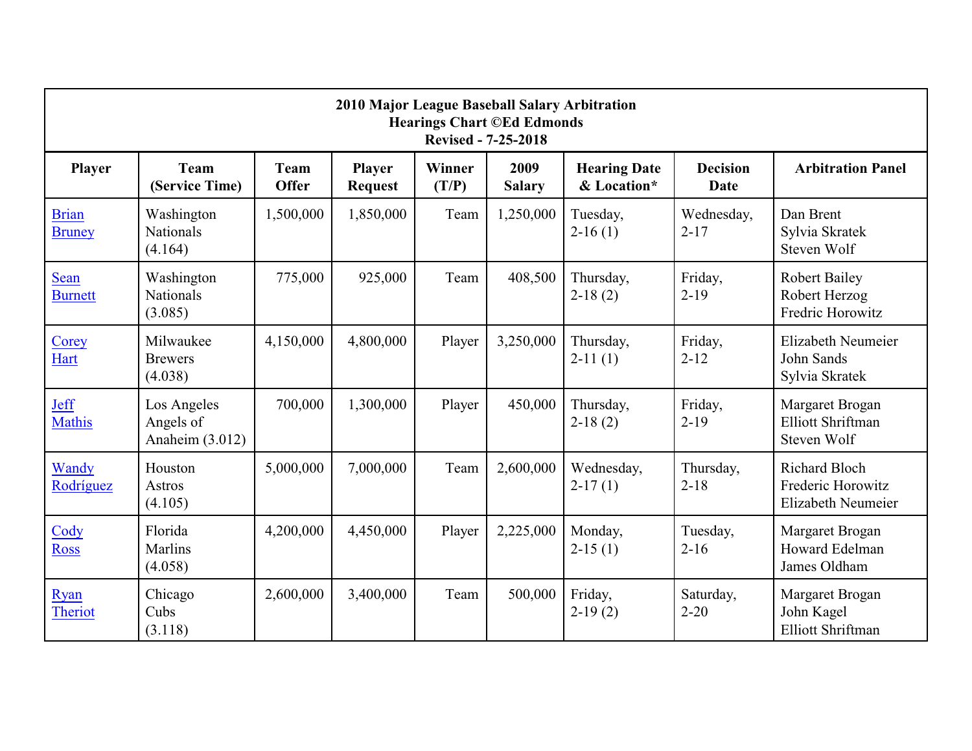| 2010 Major League Baseball Salary Arbitration<br><b>Hearings Chart ©Ed Edmonds</b><br><b>Revised - 7-25-2018</b> |                                             |                             |                                 |                 |                       |                                    |                         |                                                                 |  |  |  |  |
|------------------------------------------------------------------------------------------------------------------|---------------------------------------------|-----------------------------|---------------------------------|-----------------|-----------------------|------------------------------------|-------------------------|-----------------------------------------------------------------|--|--|--|--|
| <b>Player</b>                                                                                                    | <b>Team</b><br>(Service Time)               | <b>Team</b><br><b>Offer</b> | <b>Player</b><br><b>Request</b> | Winner<br>(T/P) | 2009<br><b>Salary</b> | <b>Hearing Date</b><br>& Location* | <b>Decision</b><br>Date | <b>Arbitration Panel</b>                                        |  |  |  |  |
| <b>Brian</b><br><b>Bruney</b>                                                                                    | Washington<br><b>Nationals</b><br>(4.164)   | 1,500,000                   | 1,850,000                       | Team            | 1,250,000             | Tuesday,<br>$2-16(1)$              | Wednesday,<br>$2 - 17$  | Dan Brent<br>Sylvia Skratek<br>Steven Wolf                      |  |  |  |  |
| <b>Sean</b><br><b>Burnett</b>                                                                                    | Washington<br><b>Nationals</b><br>(3.085)   | 775,000                     | 925,000                         | Team            | 408,500               | Thursday,<br>$2-18(2)$             | Friday,<br>$2 - 19$     | <b>Robert Bailey</b><br>Robert Herzog<br>Fredric Horowitz       |  |  |  |  |
| Corey<br>Hart                                                                                                    | Milwaukee<br><b>Brewers</b><br>(4.038)      | 4,150,000                   | 4,800,000                       | Player          | 3,250,000             | Thursday,<br>$2-11(1)$             | Friday,<br>$2 - 12$     | Elizabeth Neumeier<br>John Sands<br>Sylvia Skratek              |  |  |  |  |
| <b>Jeff</b><br><b>Mathis</b>                                                                                     | Los Angeles<br>Angels of<br>Anaheim (3.012) | 700,000                     | 1,300,000                       | Player          | 450,000               | Thursday,<br>$2-18(2)$             | Friday,<br>$2 - 19$     | Margaret Brogan<br><b>Elliott Shriftman</b><br>Steven Wolf      |  |  |  |  |
| Wandy<br>Rodríguez                                                                                               | Houston<br><b>Astros</b><br>(4.105)         | 5,000,000                   | 7,000,000                       | Team            | 2,600,000             | Wednesday,<br>$2-17(1)$            | Thursday,<br>$2 - 18$   | <b>Richard Bloch</b><br>Frederic Horowitz<br>Elizabeth Neumeier |  |  |  |  |
| Cody<br><b>Ross</b>                                                                                              | Florida<br>Marlins<br>(4.058)               | 4,200,000                   | 4,450,000                       | Player          | 2,225,000             | Monday,<br>$2-15(1)$               | Tuesday,<br>$2 - 16$    | Margaret Brogan<br><b>Howard Edelman</b><br>James Oldham        |  |  |  |  |
| Ryan<br><b>Theriot</b>                                                                                           | Chicago<br>Cubs<br>(3.118)                  | 2,600,000                   | 3,400,000                       | Team            | 500,000               | Friday,<br>$2-19(2)$               | Saturday,<br>$2 - 20$   | Margaret Brogan<br>John Kagel<br><b>Elliott Shriftman</b>       |  |  |  |  |